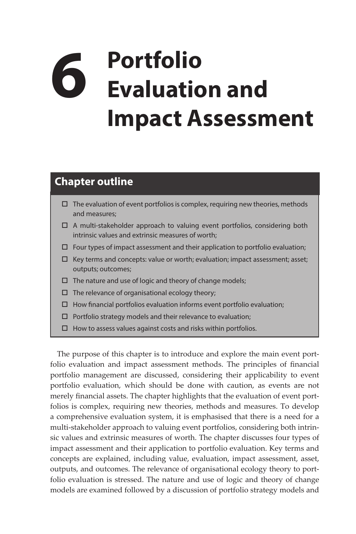## **6 Portfolio Evaluation and Impact Assessment**

## **Chapter outline**

- $\Box$  The evaluation of event portfolios is complex, requiring new theories, methods and measures;
- $\Box$  A multi-stakeholder approach to valuing event portfolios, considering both intrinsic values and extrinsic measures of worth;
- $\Box$  Four types of impact assessment and their application to portfolio evaluation;
- $\Box$  Key terms and concepts: value or worth; evaluation; impact assessment; asset; outputs; outcomes;
- $\Box$  The nature and use of logic and theory of change models;
- $\Box$  The relevance of organisational ecology theory;
- $\Box$  How financial portfolios evaluation informs event portfolio evaluation;
- $\square$  Portfolio strategy models and their relevance to evaluation;
- $\Box$  How to assess values against costs and risks within portfolios.

The purpose of this chapter is to introduce and explore the main event portfolio evaluation and impact assessment methods. The principles of financial portfolio management are discussed, considering their applicability to event portfolio evaluation, which should be done with caution, as events are not merely financial assets. The chapter highlights that the evaluation of event portfolios is complex, requiring new theories, methods and measures. To develop a comprehensive evaluation system, it is emphasised that there is a need for a multi-stakeholder approach to valuing event portfolios, considering both intrinsic values and extrinsic measures of worth. The chapter discusses four types of impact assessment and their application to portfolio evaluation. Key terms and concepts are explained, including value, evaluation, impact assessment, asset, outputs, and outcomes. The relevance of organisational ecology theory to portfolio evaluation is stressed. The nature and use of logic and theory of change models are examined followed by a discussion of portfolio strategy models and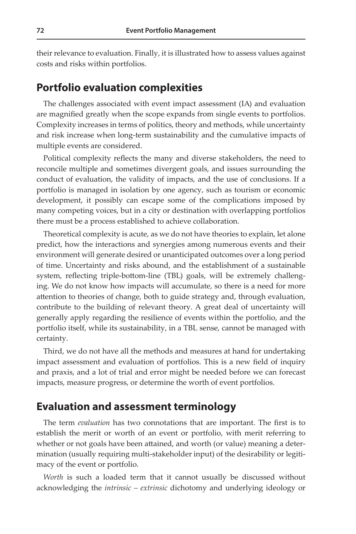their relevance to evaluation. Finally, it is illustrated how to assess values against costs and risks within portfolios.

## **Portfolio evaluation complexities**

The challenges associated with event impact assessment (IA) and evaluation are magnified greatly when the scope expands from single events to portfolios. Complexity increases in terms of politics, theory and methods, while uncertainty and risk increase when long-term sustainability and the cumulative impacts of multiple events are considered.

Political complexity reflects the many and diverse stakeholders, the need to reconcile multiple and sometimes divergent goals, and issues surrounding the conduct of evaluation, the validity of impacts, and the use of conclusions. If a portfolio is managed in isolation by one agency, such as tourism or economic development, it possibly can escape some of the complications imposed by many competing voices, but in a city or destination with overlapping portfolios there must be a process established to achieve collaboration.

Theoretical complexity is acute, as we do not have theories to explain, let alone predict, how the interactions and synergies among numerous events and their environment will generate desired or unanticipated outcomes over a long period of time. Uncertainty and risks abound, and the establishment of a sustainable system, reflecting triple-bottom-line (TBL) goals, will be extremely challenging. We do not know how impacts will accumulate, so there is a need for more attention to theories of change, both to guide strategy and, through evaluation, contribute to the building of relevant theory. A great deal of uncertainty will generally apply regarding the resilience of events within the portfolio, and the portfolio itself, while its sustainability, in a TBL sense, cannot be managed with certainty.

Third, we do not have all the methods and measures at hand for undertaking impact assessment and evaluation of portfolios. This is a new field of inquiry and praxis, and a lot of trial and error might be needed before we can forecast impacts, measure progress, or determine the worth of event portfolios.

## **Evaluation and assessment terminology**

The term *evaluation* has two connotations that are important. The first is to establish the merit or worth of an event or portfolio, with merit referring to whether or not goals have been attained, and worth (or value) meaning a determination (usually requiring multi-stakeholder input) of the desirability or legitimacy of the event or portfolio.

*Worth* is such a loaded term that it cannot usually be discussed without acknowledging the *intrinsic – extrinsic* dichotomy and underlying ideology or